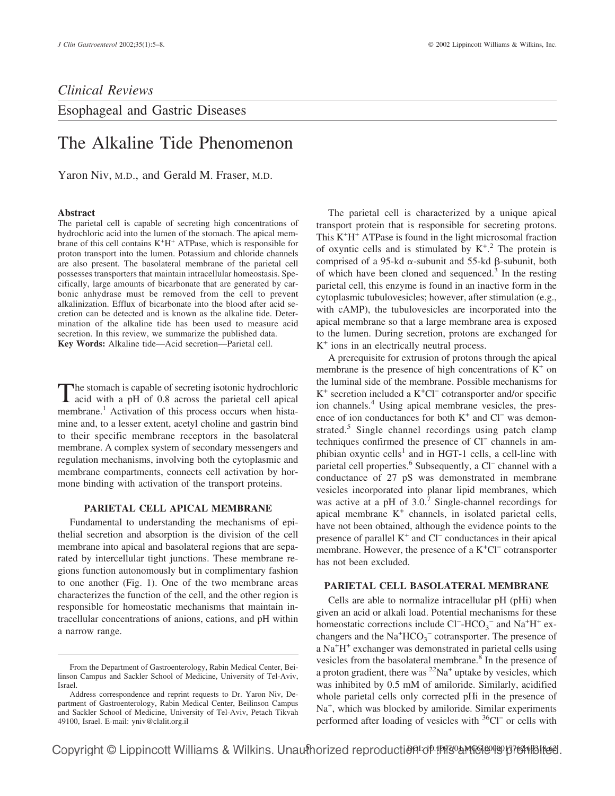## *Clinical Reviews*

Esophageal and Gastric Diseases

# The Alkaline Tide Phenomenon

Yaron Niv, M.D., and Gerald M. Fraser, M.D.

#### **Abstract**

The parietal cell is capable of secreting high concentrations of hydrochloric acid into the lumen of the stomach. The apical membrane of this cell contains  $K^+H^+$  ATPase, which is responsible for proton transport into the lumen. Potassium and chloride channels are also present. The basolateral membrane of the parietal cell possesses transporters that maintain intracellular homeostasis. Specifically, large amounts of bicarbonate that are generated by carbonic anhydrase must be removed from the cell to prevent alkalinization. Efflux of bicarbonate into the blood after acid secretion can be detected and is known as the alkaline tide. Determination of the alkaline tide has been used to measure acid secretion. In this review, we summarize the published data. **Key Words:** Alkaline tide—Acid secretion—Parietal cell.

The stomach is capable of secreting isotonic hydrochloric<br>acid with a pH of 0.8 across the parietal cell apical membrane.<sup>1</sup> Activation of this process occurs when histamine and, to a lesser extent, acetyl choline and gastrin bind to their specific membrane receptors in the basolateral membrane. A complex system of secondary messengers and regulation mechanisms, involving both the cytoplasmic and membrane compartments, connects cell activation by hormone binding with activation of the transport proteins.

### **PARIETAL CELL APICAL MEMBRANE**

Fundamental to understanding the mechanisms of epithelial secretion and absorption is the division of the cell membrane into apical and basolateral regions that are separated by intercellular tight junctions. These membrane regions function autonomously but in complimentary fashion to one another (Fig. 1). One of the two membrane areas characterizes the function of the cell, and the other region is responsible for homeostatic mechanisms that maintain intracellular concentrations of anions, cations, and pH within a narrow range.

The parietal cell is characterized by a unique apical transport protein that is responsible for secreting protons. This K<sup>+</sup>H<sup>+</sup> ATPase is found in the light microsomal fraction of oxyntic cells and is stimulated by  $K^{+2}$ . The protein is comprised of a 95-kd  $\alpha$ -subunit and 55-kd  $\beta$ -subunit, both of which have been cloned and sequenced.<sup>3</sup> In the resting parietal cell, this enzyme is found in an inactive form in the cytoplasmic tubulovesicles; however, after stimulation (e.g., with cAMP), the tubulovesicles are incorporated into the apical membrane so that a large membrane area is exposed to the lumen. During secretion, protons are exchanged for  $K^+$  ions in an electrically neutral process.

A prerequisite for extrusion of protons through the apical membrane is the presence of high concentrations of  $K^+$  on the luminal side of the membrane. Possible mechanisms for K<sup>+</sup> secretion included a K+ Cl− cotransporter and/or specific ion channels.<sup>4</sup> Using apical membrane vesicles, the presence of ion conductances for both K<sup>+</sup> and Cl<sup>−</sup> was demonstrated.<sup>5</sup> Single channel recordings using patch clamp techniques confirmed the presence of Cl− channels in amphibian oxyntic cells<sup>1</sup> and in HGT-1 cells, a cell-line with parietal cell properties.<sup>6</sup> Subsequently, a Cl<sup>−</sup> channel with a conductance of 27 pS was demonstrated in membrane vesicles incorporated into planar lipid membranes, which was active at a pH of 3.0.<sup>7</sup> Single-channel recordings for apical membrane  $K^+$  channels, in isolated parietal cells, have not been obtained, although the evidence points to the presence of parallel K+ and Cl− conductances in their apical membrane. However, the presence of a  $K^+Cl^-$  cotransporter has not been excluded.

#### **PARIETAL CELL BASOLATERAL MEMBRANE**

Cells are able to normalize intracellular pH (pHi) when given an acid or alkali load. Potential mechanisms for these homeostatic corrections include  $Cl^-$ -HCO<sub>3</sub><sup>-</sup> and Na<sup>+</sup>H<sup>+</sup> exchangers and the  $\text{Na}^+\text{HCO}_3^-$  cotransporter. The presence of a Na<sup>+</sup>H<sup>+</sup> exchanger was demonstrated in parietal cells using vesicles from the basolateral membrane.<sup>8</sup> In the presence of a proton gradient, there was  ${}^{22}Na^+$  uptake by vesicles, which was inhibited by 0.5 mM of amiloride. Similarly, acidified whole parietal cells only corrected pHi in the presence of Na<sup>+</sup>, which was blocked by amiloride. Similar experiments performed after loading of vesicles with <sup>36</sup>Cl<sup>−</sup> or cells with

From the Department of Gastroenterology, Rabin Medical Center, Beilinson Campus and Sackler School of Medicine, University of Tel-Aviv, Israel.

Address correspondence and reprint requests to Dr. Yaron Niv, Department of Gastroenterology, Rabin Medical Center, Beilinson Campus and Sackler School of Medicine, University of Tel-Aviv, Petach Tikvah 49100, Israel. E-mail: yniv@clalit.org.il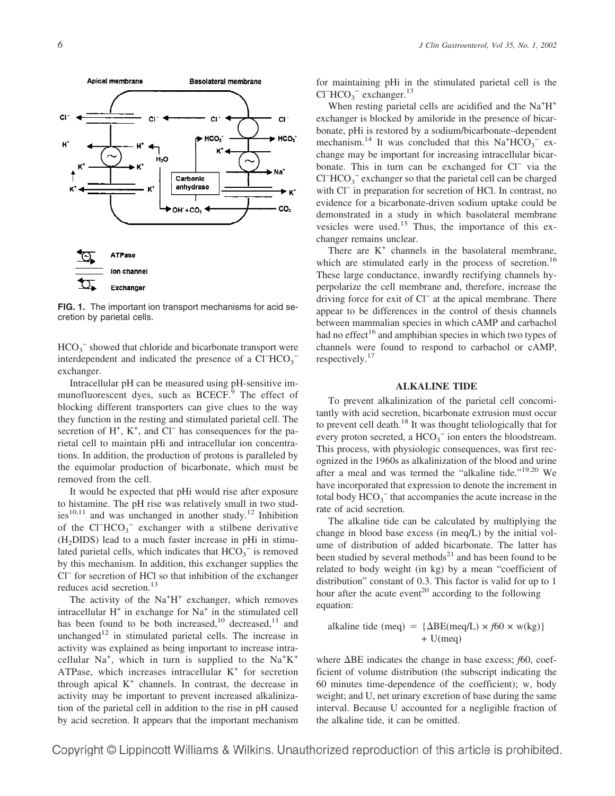

**FIG. 1.** The important ion transport mechanisms for acid secretion by parietal cells.

 $HCO<sub>3</sub><sup>-</sup>$  showed that chloride and bicarbonate transport were interdependent and indicated the presence of a Cl<sup>−</sup>HCO<sub>3</sub><sup>-</sup> exchanger.

Intracellular pH can be measured using pH-sensitive immunofluorescent dyes, such as BCECF.<sup>9</sup> The effect of blocking different transporters can give clues to the way they function in the resting and stimulated parietal cell. The secretion of H<sup>+</sup>, K<sup>+</sup>, and Cl<sup>−</sup> has consequences for the parietal cell to maintain pHi and intracellular ion concentrations. In addition, the production of protons is paralleled by the equimolar production of bicarbonate, which must be removed from the cell.

It would be expected that pHi would rise after exposure to histamine. The pH rise was relatively small in two studies $10,11$  and was unchanged in another study.<sup>12</sup> Inhibition of the Cl<sup>−</sup> HCO3 <sup>−</sup> exchanger with a stilbene derivative  $(H<sub>2</sub>DIDS)$  lead to a much faster increase in pHi in stimulated parietal cells, which indicates that  $HCO_3^-$  is removed by this mechanism. In addition, this exchanger supplies the Cl<sup>−</sup> for secretion of HCl so that inhibition of the exchanger reduces acid secretion.<sup>13</sup>

The activity of the  $Na<sup>+</sup>H<sup>+</sup>$  exchanger, which removes intracellular  $H^+$  in exchange for  $Na^+$  in the stimulated cell has been found to be both increased,<sup>10</sup> decreased,<sup>11</sup> and unchanged<sup>12</sup> in stimulated parietal cells. The increase in activity was explained as being important to increase intracellular  $Na<sup>+</sup>$ , which in turn is supplied to the  $Na<sup>+</sup>K<sup>+</sup>$ ATPase, which increases intracellular  $K^+$  for secretion through apical  $K^+$  channels. In contrast, the decrease in activity may be important to prevent increased alkalinization of the parietal cell in addition to the rise in pH caused by acid secretion. It appears that the important mechanism for maintaining pHi in the stimulated parietal cell is the  $Cl<sup>-</sup> HCO<sub>3</sub><sup>-</sup> exchange. <sup>13</sup>$ 

When resting parietal cells are acidified and the Na<sup>+</sup>H<sup>+</sup> exchanger is blocked by amiloride in the presence of bicarbonate, pHi is restored by a sodium/bicarbonate–dependent mechanism.<sup>14</sup> It was concluded that this  $Na^+HCO_3^-$  exchange may be important for increasing intracellular bicarbonate. This in turn can be exchanged for Cl<sup>−</sup> via the  $CI<sup>-</sup> HCO<sub>3</sub><sup>-</sup>$  exchanger so that the parietal cell can be charged with Cl<sup>−</sup> in preparation for secretion of HCl. In contrast, no evidence for a bicarbonate-driven sodium uptake could be demonstrated in a study in which basolateral membrane vesicles were used.<sup>15</sup> Thus, the importance of this exchanger remains unclear.

There are  $K^+$  channels in the basolateral membrane, which are stimulated early in the process of secretion.<sup>16</sup> These large conductance, inwardly rectifying channels hyperpolarize the cell membrane and, therefore, increase the driving force for exit of Cl− at the apical membrane. There appear to be differences in the control of thesis channels between mammalian species in which cAMP and carbachol had no effect<sup>16</sup> and amphibian species in which two types of channels were found to respond to carbachol or cAMP, respectively.<sup>17</sup>

#### **ALKALINE TIDE**

To prevent alkalinization of the parietal cell concomitantly with acid secretion, bicarbonate extrusion must occur to prevent cell death.<sup>18</sup> It was thought teliologically that for every proton secreted, a  $HCO_3^-$  ion enters the bloodstream. This process, with physiologic consequences, was first recognized in the 1960s as alkalinization of the blood and urine after a meal and was termed the "alkaline tide."<sup>19,20</sup> We have incorporated that expression to denote the increment in total body  $HCO_3^-$  that accompanies the acute increase in the rate of acid secretion.

The alkaline tide can be calculated by multiplying the change in blood base excess (in meq/L) by the initial volume of distribution of added bicarbonate. The latter has been studied by several methods $21$  and has been found to be related to body weight (in kg) by a mean "coefficient of distribution" constant of 0.3. This factor is valid for up to 1 hour after the acute event<sup>20</sup> according to the following equation:

alkaline tide (meq) =  $\{\Delta BE(meq/L) \times f60 \times w(kg)\}\$  $+$  U(meq)

where  $\Delta BE$  indicates the change in base excess;  $f60$ , coefficient of volume distribution (the subscript indicating the 60 minutes time-dependence of the coefficient); w, body weight; and U, net urinary excretion of base during the same interval. Because U accounted for a negligible fraction of the alkaline tide, it can be omitted.

Copyright © Lippincott Williams & Wilkins. Unauthorized reproduction of this article is prohibited.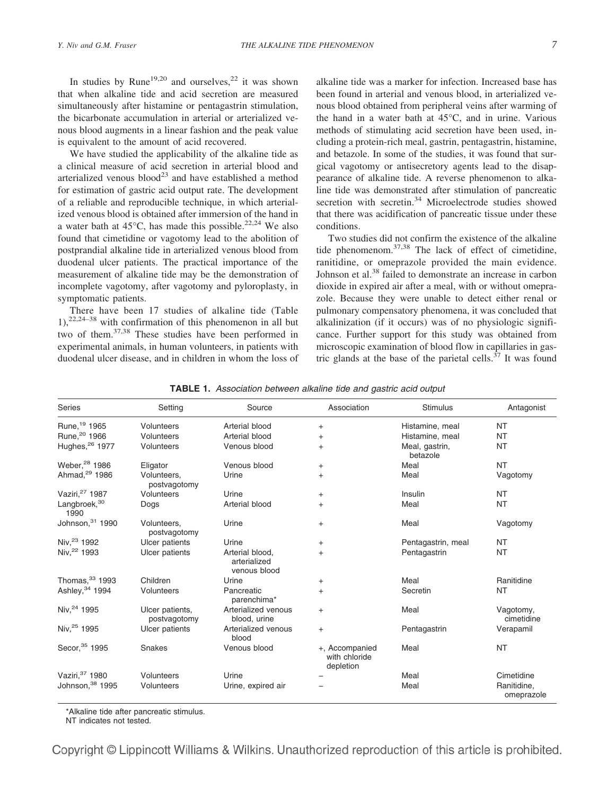In studies by Rune<sup>19,20</sup> and ourselves,<sup>22</sup> it was shown that when alkaline tide and acid secretion are measured simultaneously after histamine or pentagastrin stimulation, the bicarbonate accumulation in arterial or arterialized venous blood augments in a linear fashion and the peak value is equivalent to the amount of acid recovered.

We have studied the applicability of the alkaline tide as a clinical measure of acid secretion in arterial blood and arterialized venous blood<sup>23</sup> and have established a method for estimation of gastric acid output rate. The development of a reliable and reproducible technique, in which arterialized venous blood is obtained after immersion of the hand in a water bath at  $45^{\circ}$ C, has made this possible.<sup>22,24</sup> We also found that cimetidine or vagotomy lead to the abolition of postprandial alkaline tide in arterialized venous blood from duodenal ulcer patients. The practical importance of the measurement of alkaline tide may be the demonstration of incomplete vagotomy, after vagotomy and pyloroplasty, in symptomatic patients.

There have been 17 studies of alkaline tide (Table  $1$ ,<sup>22,24–38</sup> with confirmation of this phenomenon in all but two of them.37,38 These studies have been performed in experimental animals, in human volunteers, in patients with duodenal ulcer disease, and in children in whom the loss of alkaline tide was a marker for infection. Increased base has been found in arterial and venous blood, in arterialized venous blood obtained from peripheral veins after warming of the hand in a water bath at 45°C, and in urine. Various methods of stimulating acid secretion have been used, including a protein-rich meal, gastrin, pentagastrin, histamine, and betazole. In some of the studies, it was found that surgical vagotomy or antisecretory agents lead to the disappearance of alkaline tide. A reverse phenomenon to alkaline tide was demonstrated after stimulation of pancreatic secretion with secretin.<sup>34</sup> Microelectrode studies showed that there was acidification of pancreatic tissue under these conditions.

Two studies did not confirm the existence of the alkaline tide phenomenom.37,38 The lack of effect of cimetidine, ranitidine, or omeprazole provided the main evidence. Johnson et al.<sup>38</sup> failed to demonstrate an increase in carbon dioxide in expired air after a meal, with or without omeprazole. Because they were unable to detect either renal or pulmonary compensatory phenomena, it was concluded that alkalinization (if it occurs) was of no physiologic significance. Further support for this study was obtained from microscopic examination of blood flow in capillaries in gastric glands at the base of the parietal cells. $37$  It was found

|  |  |  |  |  | <b>TABLE 1.</b> Association between alkaline tide and gastric acid output |  |
|--|--|--|--|--|---------------------------------------------------------------------------|--|
|--|--|--|--|--|---------------------------------------------------------------------------|--|

| <b>Series</b>                    | Setting                         | Source                                          | Association                                  | <b>Stimulus</b>            | Antagonist                |
|----------------------------------|---------------------------------|-------------------------------------------------|----------------------------------------------|----------------------------|---------------------------|
| Rune, 19 1965                    | Volunteers                      | Arterial blood                                  | $+$                                          | Histamine, meal            | NT                        |
| Rune, <sup>20</sup> 1966         | Volunteers                      | Arterial blood                                  | $+$                                          | Histamine, meal            | <b>NT</b>                 |
| Hughes, <sup>26</sup> 1977       | Volunteers                      | Venous blood                                    | $+$                                          | Meal, gastrin,<br>betazole | <b>NT</b>                 |
| Weber, <sup>28</sup> 1986        | Eligator                        | Venous blood                                    | $\ddot{}$                                    | Meal                       | <b>NT</b>                 |
| Ahmad. <sup>29</sup> 1986        | Volunteers.<br>postvagotomy     | Urine                                           | $+$                                          | Meal                       | Vagotomy                  |
| Vaziri, 27 1987                  | Volunteers                      | Urine                                           | $+$                                          | Insulin                    | <b>NT</b>                 |
| Langbroek, <sup>30</sup><br>1990 | Dogs                            | Arterial blood                                  | $+$                                          | Meal                       | NT                        |
| Johnson, 31 1990                 | Volunteers,<br>postvagotomy     | Urine                                           | $\ddot{}$                                    | Meal                       | Vagotomy                  |
| Niv. <sup>23</sup> 1992          | Ulcer patients                  | Urine                                           | $\ddot{}$                                    | Pentagastrin, meal         | NT                        |
| Niv, <sup>22</sup> 1993          | Ulcer patients                  | Arterial blood.<br>arterialized<br>venous blood | $+$                                          | Pentagastrin               | <b>NT</b>                 |
| Thomas, 33 1993                  | Children                        | Urine                                           | $\ddot{}$                                    | Meal                       | Ranitidine                |
| Ashley, 34 1994                  | Volunteers                      | Pancreatic<br>parenchima*                       | $+$                                          | Secretin                   | <b>NT</b>                 |
| Niv, 24 1995                     | Ulcer patients,<br>postvagotomy | Arterialized venous<br>blood, urine             | $\ddot{}$                                    | Meal                       | Vagotomy,<br>cimetidine   |
| Niv, 25 1995                     | Ulcer patients                  | Arterialized venous<br>blood                    | $\ddot{}$                                    | Pentagastrin               | Verapamil                 |
| Secor, 35 1995                   | Snakes                          | Venous blood                                    | +, Accompanied<br>with chloride<br>depletion | Meal                       | <b>NT</b>                 |
| Vaziri, 37 1980                  | Volunteers                      | Urine                                           |                                              | Meal                       | Cimetidine                |
| Johnson, 38 1995                 | Volunteers                      | Urine, expired air                              |                                              | Meal                       | Ranitidine,<br>omeprazole |

\*Alkaline tide after pancreatic stimulus.

NT indicates not tested.

Copyright © Lippincott Williams & Wilkins. Unauthorized reproduction of this article is prohibited.